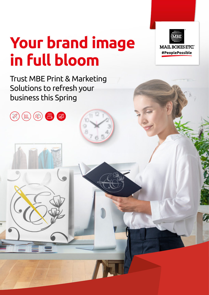# **Your brand image in full bloom**

Trust MBE Print & Marketing Solutions to refresh your business this Spring

 $\mathbb{Z}$ 

且

 $\mathbb{R}$ 

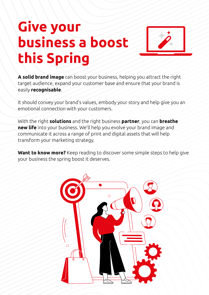## **Give your business a boost this Spring**



**A solid brand image** can boost your business, helping you attract the right target audience, expand your customer base and ensure that your brand is easily **recognisable**.

It should convey your brand's values, embody your story and help give you an emotional connection with your customers.

With the right **solutions** and the right business **partner**, you can **breathe new life** into your business. We'll help you evolve your brand image and communicate it across a range of print and digital assets that will help transform your marketing strategy.

**Want to know more?** Keep reading to discover some simple steps to help give your business the spring boost it deserves.

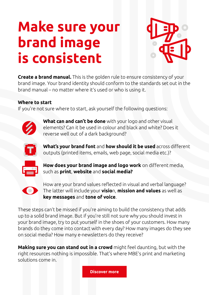## **Make sure your brand image is consistent**



**Create a brand manual.** This is the golden rule to ensure consistency of your brand image. Your brand identity should conform to the standards set out in the brand manual – no matter where it's used or who is using it.

#### **Where to start**

If you're not sure where to start, ask yourself the following questions:



 **What can and can't be done** with your logo and other visual elements? Can it be used in colour and black and white? Does it reverse well out of a dark background?



 **What's your brand font** and **how should it be used** across different outputs (printed items, emails, web page, social media etc.)?



 **How does your brand image and logo work** on different media, such as **print**, **website** and **social media?**



How are your brand values reflected in visual and verbal language? The latter will include your **visio**n, **mission and values** as well as **key messages** and **tone of voice**.

These steps can't be missed if you're aiming to build the consistency that adds up to a solid brand image. But if you're still not sure why you should invest in your brand image, try to put yourself in the shoes of your customers. How many brands do they come into contact with every day? How many images do they see on social media? How many e-newsletters do they receive?

**Making sure you can stand out in a crowd** might feel daunting, but with the right resources nothing is impossible. That's where MBE's print and marketing solutions come in.

**[Discover more](https://www.mbe.co.uk/print)**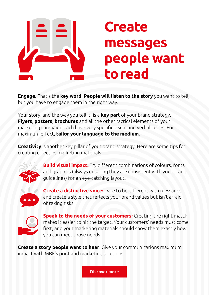

#### **Create messages people want to read**

**Engage.** That's the **key word**. **People will listen to the story** you want to tell, but you have to engage them in the right way.

Your story, and the way you tell it, is a **key par**t of your brand strategy. **Flyers**, **posters**, **brochures** and all the other tactical elements of your marketing campaign each have very specific visual and verbal codes. For maximum effect, **tailor your language to the medium**.

**Creativity** is another key pillar of your brand strategy. Here are some tips for creating effective marketing materials:



 **Build visual impact:** Try different combinations of colours, fonts and graphics (always ensuring they are consistent with your brand guidelines) for an eye-catching layout.



 **Create a distinctive voice:** Dare to be different with messages and create a style that reflects your brand values but isn't afraid of taking risks.



 **Speak to the needs of your customers:** Creating the right match makes it easier to hit the target. Your customers' needs must come first, and your marketing materials should show them exactly how you can meet those needs.

**Create a story people want to hear**. Give your communications maximum impact with MBE's print and marketing solutions.

**[Discover more](https://www.mbe.co.uk/print)**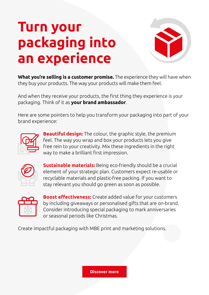#### **Turn your packaging into an experience**



**What you're selling is a customer promise.** The experience they will have when they buy your products. The way your products will make them feel.

And when they receive your products, the first thing they experience is your packaging. Think of it as **your brand ambassador**.

Here are some pointers to help you transform your packaging into part of your brand experience:



 **Beautiful design:** The colour, the graphic style, the premium feel. The way you wrap and box your products lets you give free rein to your creativity. Mix these ingredients in the right way to make a brilliant first impression.



 **Sustainable materials:** Being eco-friendly should be a crucial element of your strategic plan. Customers expect re-usable or recyclable materials and plastic-free packing. If you want to stay relevant you should go green as soon as possible.



 **Boost effectiveness:** Create added value for your customers by including giveaways or personalised gifts that are on-brand. Consider introducing special packaging to mark anniversaries or seasonal periods like Christmas.

Create impactful packaging with MBE print and marketing solutions.

**[Discover more](https://www.mbe.co.uk/parcel)**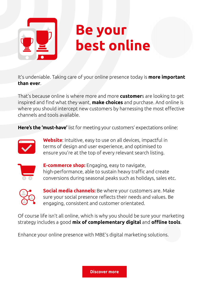

#### **Be your best online**

It's undeniable. Taking care of your online presence today is **more important than ever**.

That's because online is where more and more **customer**s are looking to get inspired and find what they want, **make choices** and purchase. And online is where you should intercept new customers by harnessing the most effective channels and tools available.

**Here's the 'must-have'** list for meeting your customers' expectations online:



 **Website**: Intuitive, easy to use on all devices, impactful in terms of design and user experience, and optimised to ensure you're at the top of every relevant search listing.



 **E-commerce shop:** Engaging, easy to navigate, high-performance, able to sustain heavy traffic and create conversions during seasonal peaks such as holidays, sales etc.



 **Social media channels:** Be where your customers are. Make sure your social presence reflects their needs and values. Be engaging, consistent and customer orientated.

Of course life isn't all online, which is why you should be sure your marketing strategy includes a good **mix of complementary digital** and **offline tools**.

Enhance your online presence with MBE's digital marketing solutions.

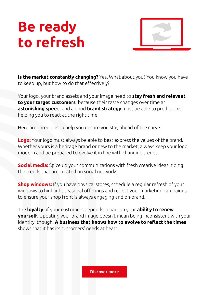### **Be ready to refresh**



**Is the market constantly changing?** Yes. What about you? You know you have to keep up, but how to do that effectively?

Your logo, your brand assets and your image need to **stay fresh and relevant to your target customers**, because their taste changes over time at **astonishing spee**d, and a good **brand strategy** must be able to predict this, helping you to react at the right time.

Here are three tips to help you ensure you stay ahead of the curve:

**Logo:** Your logo must always be able to best express the values of the brand. Whether yours is a heritage brand or new to the market, always keep your logo modern and be prepared to evolve it in line with changing trends.

**Social media:** Spice up your communications with fresh creative ideas, riding the trends that are created on social networks.

**Shop windows:** If you have physical stores, schedule a regular refresh of your windows to highlight seasonal offerings and reflect your marketing campaigns, to ensure your shop front is always engaging and on-brand.

The **loyalty** of your customers depends in part on your **ability to renew yourself**. Updating your brand image doesn't mean being inconsistent with your identity, though. **A business that knows how to evolve to reflect the times**  shows that it has its customers' needs at heart.